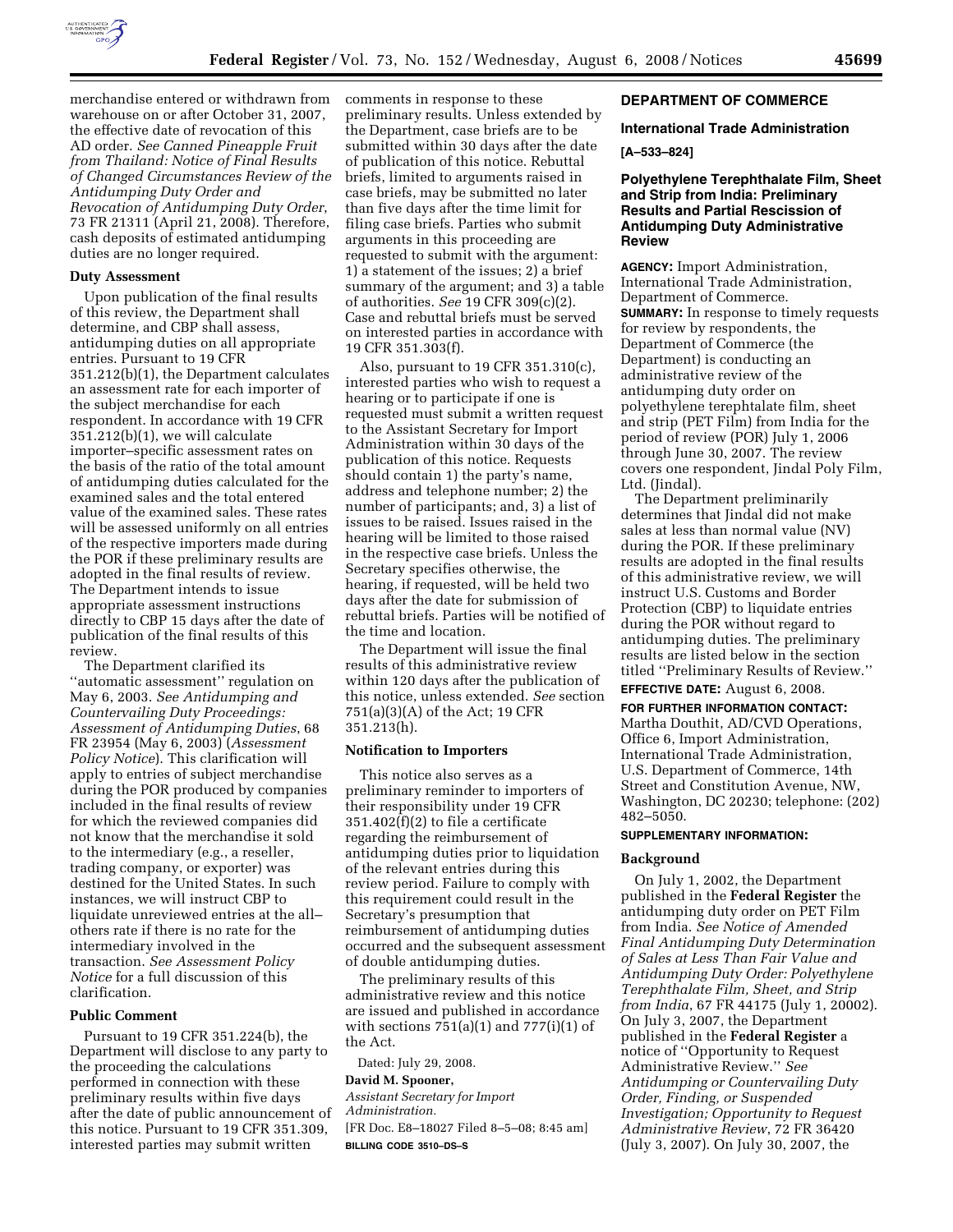

merchandise entered or withdrawn from warehouse on or after October 31, 2007, the effective date of revocation of this AD order. *See Canned Pineapple Fruit from Thailand: Notice of Final Results of Changed Circumstances Review of the Antidumping Duty Order and Revocation of Antidumping Duty Order*, 73 FR 21311 (April 21, 2008). Therefore, cash deposits of estimated antidumping duties are no longer required.

#### **Duty Assessment**

Upon publication of the final results of this review, the Department shall determine, and CBP shall assess, antidumping duties on all appropriate entries. Pursuant to 19 CFR 351.212(b)(1), the Department calculates an assessment rate for each importer of the subject merchandise for each respondent. In accordance with 19 CFR 351.212(b)(1), we will calculate importer–specific assessment rates on the basis of the ratio of the total amount of antidumping duties calculated for the examined sales and the total entered value of the examined sales. These rates will be assessed uniformly on all entries of the respective importers made during the POR if these preliminary results are adopted in the final results of review. The Department intends to issue appropriate assessment instructions directly to CBP 15 days after the date of publication of the final results of this review.

The Department clarified its ''automatic assessment'' regulation on May 6, 2003. *See Antidumping and Countervailing Duty Proceedings: Assessment of Antidumping Duties*, 68 FR 23954 (May 6, 2003) (*Assessment Policy Notice*). This clarification will apply to entries of subject merchandise during the POR produced by companies included in the final results of review for which the reviewed companies did not know that the merchandise it sold to the intermediary (e.g., a reseller, trading company, or exporter) was destined for the United States. In such instances, we will instruct CBP to liquidate unreviewed entries at the all– others rate if there is no rate for the intermediary involved in the transaction. *See Assessment Policy Notice* for a full discussion of this clarification.

#### **Public Comment**

Pursuant to 19 CFR 351.224(b), the Department will disclose to any party to the proceeding the calculations performed in connection with these preliminary results within five days after the date of public announcement of this notice. Pursuant to 19 CFR 351.309, interested parties may submit written

comments in response to these preliminary results. Unless extended by the Department, case briefs are to be submitted within 30 days after the date of publication of this notice. Rebuttal briefs, limited to arguments raised in case briefs, may be submitted no later than five days after the time limit for filing case briefs. Parties who submit arguments in this proceeding are requested to submit with the argument: 1) a statement of the issues; 2) a brief summary of the argument; and 3) a table of authorities. *See* 19 CFR 309(c)(2). Case and rebuttal briefs must be served on interested parties in accordance with 19 CFR 351.303(f).

Also, pursuant to 19 CFR 351.310(c), interested parties who wish to request a hearing or to participate if one is requested must submit a written request to the Assistant Secretary for Import Administration within 30 days of the publication of this notice. Requests should contain 1) the party's name, address and telephone number; 2) the number of participants; and, 3) a list of issues to be raised. Issues raised in the hearing will be limited to those raised in the respective case briefs. Unless the Secretary specifies otherwise, the hearing, if requested, will be held two days after the date for submission of rebuttal briefs. Parties will be notified of the time and location.

The Department will issue the final results of this administrative review within 120 days after the publication of this notice, unless extended. *See* section 751(a)(3)(A) of the Act; 19 CFR 351.213(h).

### **Notification to Importers**

This notice also serves as a preliminary reminder to importers of their responsibility under 19 CFR 351.402(f)(2) to file a certificate regarding the reimbursement of antidumping duties prior to liquidation of the relevant entries during this review period. Failure to comply with this requirement could result in the Secretary's presumption that reimbursement of antidumping duties occurred and the subsequent assessment of double antidumping duties.

The preliminary results of this administrative review and this notice are issued and published in accordance with sections  $751(a)(1)$  and  $777(i)(1)$  of the Act.

Dated: July 29, 2008.

# **David M. Spooner,**

*Assistant Secretary for Import Administration.*  [FR Doc. E8–18027 Filed 8–5–08; 8:45 am] **BILLING CODE 3510–DS–S** 

### **DEPARTMENT OF COMMERCE**

#### **International Trade Administration**

#### **[A–533–824]**

### **Polyethylene Terephthalate Film, Sheet and Strip from India: Preliminary Results and Partial Rescission of Antidumping Duty Administrative Review**

**AGENCY:** Import Administration, International Trade Administration, Department of Commerce. **SUMMARY:** In response to timely requests for review by respondents, the Department of Commerce (the Department) is conducting an administrative review of the antidumping duty order on polyethylene terephtalate film, sheet and strip (PET Film) from India for the period of review (POR) July 1, 2006 through June 30, 2007. The review covers one respondent, Jindal Poly Film, Ltd. (Jindal).

The Department preliminarily determines that Jindal did not make sales at less than normal value (NV) during the POR. If these preliminary results are adopted in the final results of this administrative review, we will instruct U.S. Customs and Border Protection (CBP) to liquidate entries during the POR without regard to antidumping duties. The preliminary results are listed below in the section titled ''Preliminary Results of Review.''

**EFFECTIVE DATE:** August 6, 2008.

**FOR FURTHER INFORMATION CONTACT:**  Martha Douthit, AD/CVD Operations, Office 6, Import Administration, International Trade Administration, U.S. Department of Commerce, 14th Street and Constitution Avenue, NW, Washington, DC 20230; telephone: (202) 482–5050.

# **SUPPLEMENTARY INFORMATION:**

#### **Background**

On July 1, 2002, the Department published in the **Federal Register** the antidumping duty order on PET Film from India. *See Notice of Amended Final Antidumping Duty Determination of Sales at Less Than Fair Value and Antidumping Duty Order: Polyethylene Terephthalate Film, Sheet, and Strip from India*, 67 FR 44175 (July 1, 20002). On July 3, 2007, the Department published in the **Federal Register** a notice of ''Opportunity to Request Administrative Review.'' *See Antidumping or Countervailing Duty Order, Finding, or Suspended Investigation; Opportunity to Request Administrative Review*, 72 FR 36420 (July 3, 2007). On July 30, 2007, the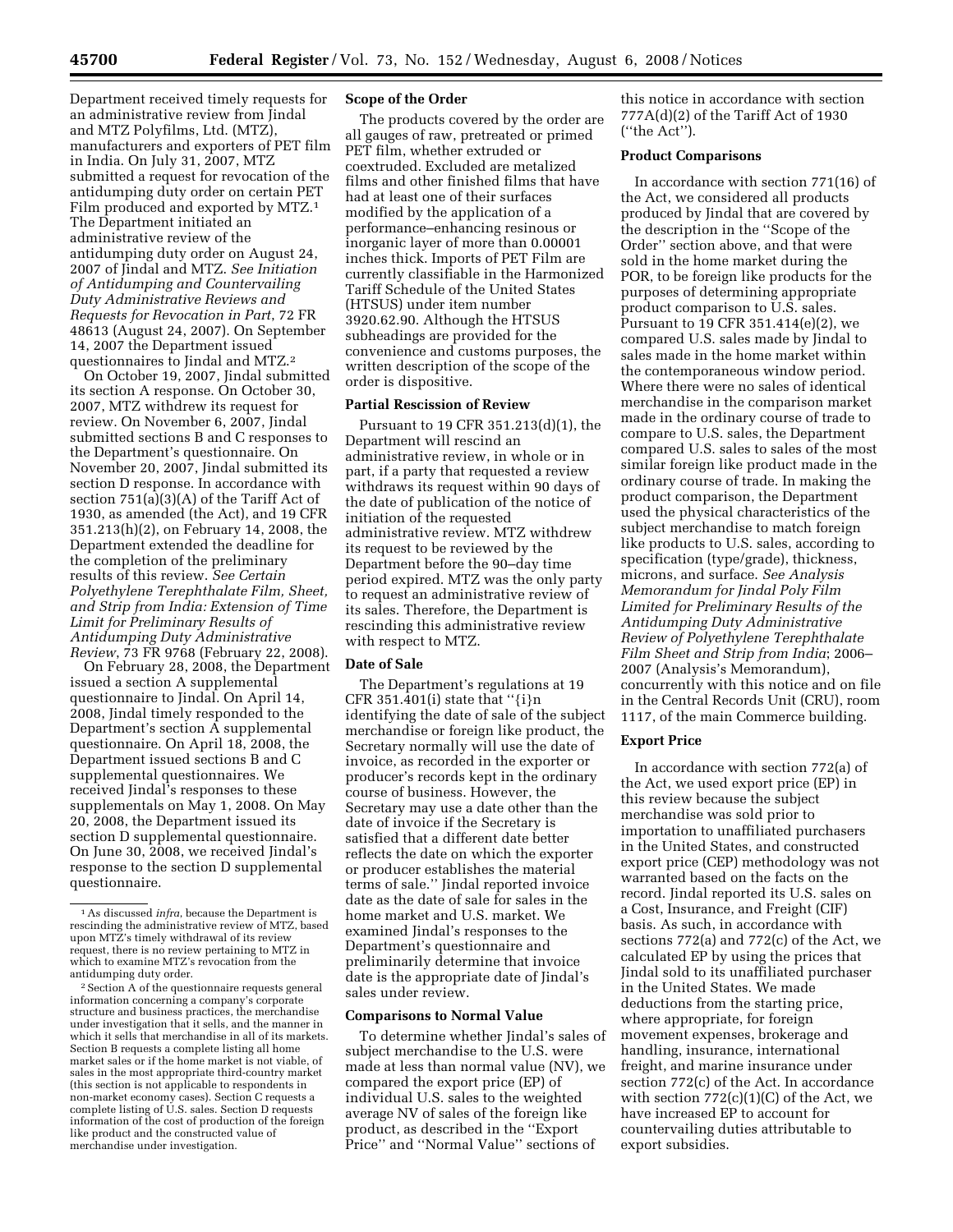Department received timely requests for an administrative review from Jindal and MTZ Polyfilms, Ltd. (MTZ), manufacturers and exporters of PET film in India. On July 31, 2007, MTZ submitted a request for revocation of the antidumping duty order on certain PET Film produced and exported by MTZ.1 The Department initiated an administrative review of the antidumping duty order on August 24, 2007 of Jindal and MTZ. *See Initiation of Antidumping and Countervailing Duty Administrative Reviews and Requests for Revocation in Part*, 72 FR 48613 (August 24, 2007). On September 14, 2007 the Department issued questionnaires to Jindal and MTZ.2

On October 19, 2007, Jindal submitted its section A response. On October 30, 2007, MTZ withdrew its request for review. On November 6, 2007, Jindal submitted sections B and C responses to the Department's questionnaire. On November 20, 2007, Jindal submitted its section D response. In accordance with section 751(a)(3)(A) of the Tariff Act of 1930, as amended (the Act), and 19 CFR 351.213(h)(2), on February 14, 2008, the Department extended the deadline for the completion of the preliminary results of this review. *See Certain Polyethylene Terephthalate Film, Sheet, and Strip from India: Extension of Time Limit for Preliminary Results of Antidumping Duty Administrative Review*, 73 FR 9768 (February 22, 2008).

On February 28, 2008, the Department issued a section A supplemental questionnaire to Jindal. On April 14, 2008, Jindal timely responded to the Department's section A supplemental questionnaire. On April 18, 2008, the Department issued sections B and C supplemental questionnaires. We received Jindal's responses to these supplementals on May 1, 2008. On May 20, 2008, the Department issued its section D supplemental questionnaire. On June 30, 2008, we received Jindal's response to the section D supplemental questionnaire.

<sup>2</sup> Section A of the questionnaire requests general information concerning a company's corporate structure and business practices, the merchandise under investigation that it sells, and the manner in which it sells that merchandise in all of its markets. Section B requests a complete listing all home market sales or if the home market is not viable, of sales in the most appropriate third-country market (this section is not applicable to respondents in non-market economy cases). Section C requests a complete listing of U.S. sales. Section D requests information of the cost of production of the foreign like product and the constructed value of merchandise under investigation.

#### **Scope of the Order**

The products covered by the order are all gauges of raw, pretreated or primed PET film, whether extruded or coextruded. Excluded are metalized films and other finished films that have had at least one of their surfaces modified by the application of a performance–enhancing resinous or inorganic layer of more than 0.00001 inches thick. Imports of PET Film are currently classifiable in the Harmonized Tariff Schedule of the United States (HTSUS) under item number 3920.62.90. Although the HTSUS subheadings are provided for the convenience and customs purposes, the written description of the scope of the order is dispositive.

#### **Partial Rescission of Review**

Pursuant to 19 CFR 351.213(d)(1), the Department will rescind an administrative review, in whole or in part, if a party that requested a review withdraws its request within 90 days of the date of publication of the notice of initiation of the requested administrative review. MTZ withdrew its request to be reviewed by the Department before the 90–day time period expired. MTZ was the only party to request an administrative review of its sales. Therefore, the Department is rescinding this administrative review with respect to MTZ.

## **Date of Sale**

The Department's regulations at 19 CFR 351.401(i) state that ''{i}n identifying the date of sale of the subject merchandise or foreign like product, the Secretary normally will use the date of invoice, as recorded in the exporter or producer's records kept in the ordinary course of business. However, the Secretary may use a date other than the date of invoice if the Secretary is satisfied that a different date better reflects the date on which the exporter or producer establishes the material terms of sale.'' Jindal reported invoice date as the date of sale for sales in the home market and U.S. market. We examined Jindal's responses to the Department's questionnaire and preliminarily determine that invoice date is the appropriate date of Jindal's sales under review.

### **Comparisons to Normal Value**

To determine whether Jindal's sales of subject merchandise to the U.S. were made at less than normal value (NV), we compared the export price (EP) of individual U.S. sales to the weighted average NV of sales of the foreign like product, as described in the ''Export Price'' and ''Normal Value'' sections of

this notice in accordance with section 777A(d)(2) of the Tariff Act of 1930 (''the Act'').

### **Product Comparisons**

In accordance with section 771(16) of the Act, we considered all products produced by Jindal that are covered by the description in the ''Scope of the Order'' section above, and that were sold in the home market during the POR, to be foreign like products for the purposes of determining appropriate product comparison to U.S. sales. Pursuant to 19 CFR 351.414(e)(2), we compared U.S. sales made by Jindal to sales made in the home market within the contemporaneous window period. Where there were no sales of identical merchandise in the comparison market made in the ordinary course of trade to compare to U.S. sales, the Department compared U.S. sales to sales of the most similar foreign like product made in the ordinary course of trade. In making the product comparison, the Department used the physical characteristics of the subject merchandise to match foreign like products to U.S. sales, according to specification (type/grade), thickness, microns, and surface. *See Analysis Memorandum for Jindal Poly Film Limited for Preliminary Results of the Antidumping Duty Administrative Review of Polyethylene Terephthalate Film Sheet and Strip from India*; 2006– 2007 (Analysis's Memorandum), concurrently with this notice and on file in the Central Records Unit (CRU), room 1117, of the main Commerce building.

## **Export Price**

In accordance with section 772(a) of the Act, we used export price (EP) in this review because the subject merchandise was sold prior to importation to unaffiliated purchasers in the United States, and constructed export price (CEP) methodology was not warranted based on the facts on the record. Jindal reported its U.S. sales on a Cost, Insurance, and Freight (CIF) basis. As such, in accordance with sections 772(a) and 772(c) of the Act, we calculated EP by using the prices that Jindal sold to its unaffiliated purchaser in the United States. We made deductions from the starting price, where appropriate, for foreign movement expenses, brokerage and handling, insurance, international freight, and marine insurance under section 772(c) of the Act. In accordance with section  $772(c)(1)(C)$  of the Act, we have increased EP to account for countervailing duties attributable to export subsidies.

<sup>1</sup>As discussed *infra*, because the Department is rescinding the administrative review of MTZ, based upon MTZ's timely withdrawal of its review request, there is no review pertaining to MTZ in which to examine MTZ's revocation from the<br>antidumping duty order.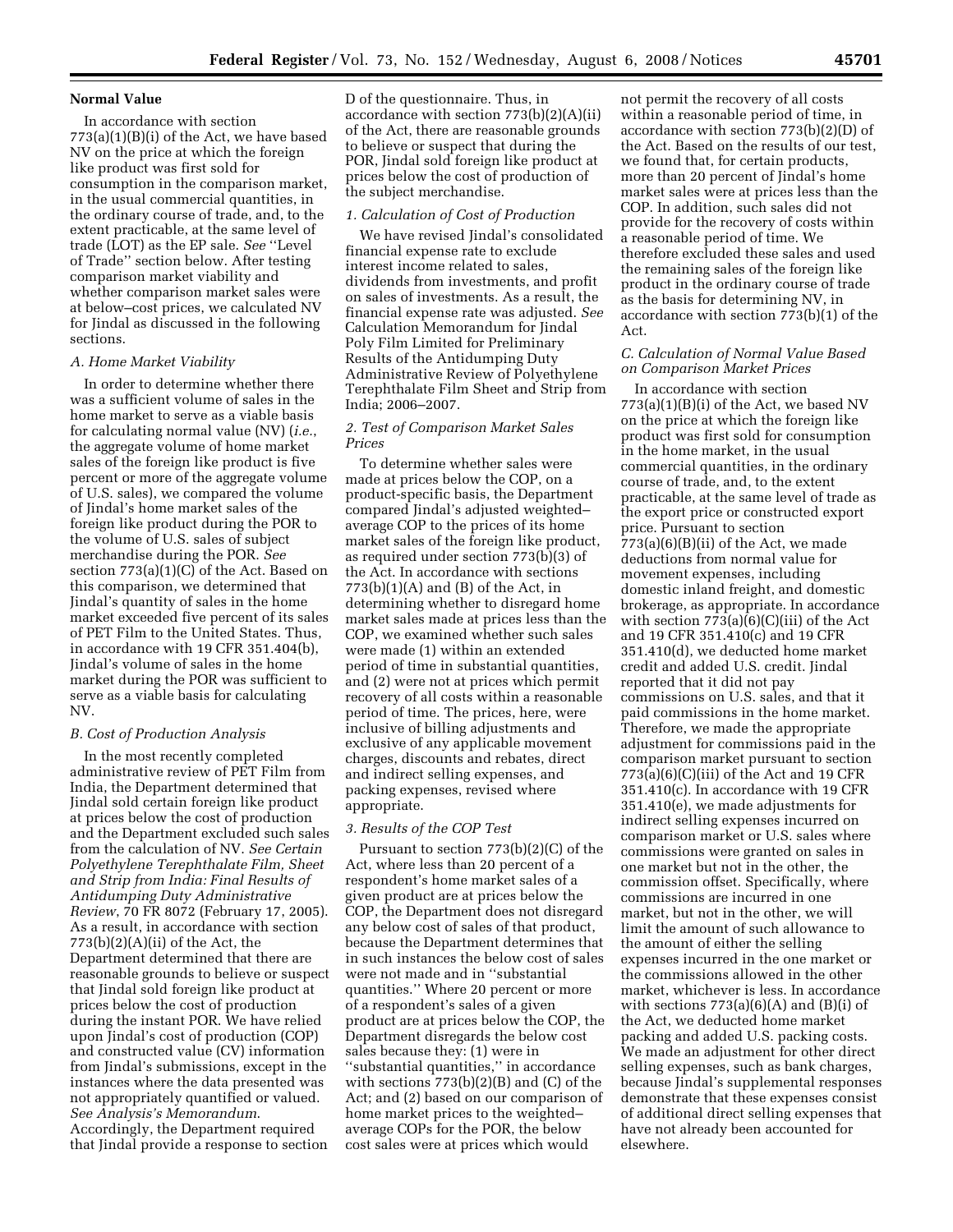### **Normal Value**

In accordance with section  $773(a)(1)(B)(i)$  of the Act, we have based NV on the price at which the foreign like product was first sold for consumption in the comparison market, in the usual commercial quantities, in the ordinary course of trade, and, to the extent practicable, at the same level of trade (LOT) as the EP sale. *See* ''Level of Trade'' section below. After testing comparison market viability and whether comparison market sales were at below–cost prices, we calculated NV for Jindal as discussed in the following sections.

### *A. Home Market Viability*

In order to determine whether there was a sufficient volume of sales in the home market to serve as a viable basis for calculating normal value (NV) (*i.e.*, the aggregate volume of home market sales of the foreign like product is five percent or more of the aggregate volume of U.S. sales), we compared the volume of Jindal's home market sales of the foreign like product during the POR to the volume of U.S. sales of subject merchandise during the POR. *See*  section 773(a)(1)(C) of the Act. Based on this comparison, we determined that Jindal's quantity of sales in the home market exceeded five percent of its sales of PET Film to the United States. Thus, in accordance with 19 CFR 351.404(b), Jindal's volume of sales in the home market during the POR was sufficient to serve as a viable basis for calculating NV.

# *B. Cost of Production Analysis*

In the most recently completed administrative review of PET Film from India, the Department determined that Jindal sold certain foreign like product at prices below the cost of production and the Department excluded such sales from the calculation of NV. *See Certain Polyethylene Terephthalate Film, Sheet and Strip from India: Final Results of Antidumping Duty Administrative Review*, 70 FR 8072 (February 17, 2005). As a result, in accordance with section  $773(b)(2)(A)(ii)$  of the Act, the Department determined that there are reasonable grounds to believe or suspect that Jindal sold foreign like product at prices below the cost of production during the instant POR. We have relied upon Jindal's cost of production (COP) and constructed value (CV) information from Jindal's submissions, except in the instances where the data presented was not appropriately quantified or valued. *See Analysis's Memorandum*. Accordingly, the Department required that Jindal provide a response to section

D of the questionnaire. Thus, in accordance with section 773(b)(2)(A)(ii) of the Act, there are reasonable grounds to believe or suspect that during the POR, Jindal sold foreign like product at prices below the cost of production of the subject merchandise.

## *1. Calculation of Cost of Production*

We have revised Jindal's consolidated financial expense rate to exclude interest income related to sales, dividends from investments, and profit on sales of investments. As a result, the financial expense rate was adjusted. *See*  Calculation Memorandum for Jindal Poly Film Limited for Preliminary Results of the Antidumping Duty Administrative Review of Polyethylene Terephthalate Film Sheet and Strip from India; 2006–2007.

### *2. Test of Comparison Market Sales Prices*

To determine whether sales were made at prices below the COP, on a product-specific basis, the Department compared Jindal's adjusted weighted– average COP to the prices of its home market sales of the foreign like product, as required under section 773(b)(3) of the Act. In accordance with sections  $773(b)(1)(A)$  and  $(B)$  of the Act, in determining whether to disregard home market sales made at prices less than the COP, we examined whether such sales were made (1) within an extended period of time in substantial quantities, and (2) were not at prices which permit recovery of all costs within a reasonable period of time. The prices, here, were inclusive of billing adjustments and exclusive of any applicable movement charges, discounts and rebates, direct and indirect selling expenses, and packing expenses, revised where appropriate.

#### *3. Results of the COP Test*

Pursuant to section 773(b)(2)(C) of the Act, where less than 20 percent of a respondent's home market sales of a given product are at prices below the COP, the Department does not disregard any below cost of sales of that product, because the Department determines that in such instances the below cost of sales were not made and in ''substantial quantities.'' Where 20 percent or more of a respondent's sales of a given product are at prices below the COP, the Department disregards the below cost sales because they: (1) were in ''substantial quantities,'' in accordance with sections 773(b)(2)(B) and (C) of the Act; and (2) based on our comparison of home market prices to the weighted– average COPs for the POR, the below cost sales were at prices which would

not permit the recovery of all costs within a reasonable period of time, in accordance with section 773(b)(2)(D) of the Act. Based on the results of our test, we found that, for certain products, more than 20 percent of Jindal's home market sales were at prices less than the COP. In addition, such sales did not provide for the recovery of costs within a reasonable period of time. We therefore excluded these sales and used the remaining sales of the foreign like product in the ordinary course of trade as the basis for determining NV, in accordance with section 773(b)(1) of the Act.

### *C. Calculation of Normal Value Based on Comparison Market Prices*

In accordance with section  $773(a)(1)(B)(i)$  of the Act, we based NV on the price at which the foreign like product was first sold for consumption in the home market, in the usual commercial quantities, in the ordinary course of trade, and, to the extent practicable, at the same level of trade as the export price or constructed export price. Pursuant to section  $773(a)(6)(B)(ii)$  of the Act, we made deductions from normal value for movement expenses, including domestic inland freight, and domestic brokerage, as appropriate. In accordance with section  $773(a)(6)(C)(iii)$  of the Act and 19 CFR 351.410(c) and 19 CFR 351.410(d), we deducted home market credit and added U.S. credit. Jindal reported that it did not pay commissions on U.S. sales, and that it paid commissions in the home market. Therefore, we made the appropriate adjustment for commissions paid in the comparison market pursuant to section 773(a)(6)(C)(iii) of the Act and 19 CFR 351.410(c). In accordance with 19 CFR 351.410(e), we made adjustments for indirect selling expenses incurred on comparison market or U.S. sales where commissions were granted on sales in one market but not in the other, the commission offset. Specifically, where commissions are incurred in one market, but not in the other, we will limit the amount of such allowance to the amount of either the selling expenses incurred in the one market or the commissions allowed in the other market, whichever is less. In accordance with sections  $773(a)(6)(A)$  and  $(B)(i)$  of the Act, we deducted home market packing and added U.S. packing costs. We made an adjustment for other direct selling expenses, such as bank charges, because Jindal's supplemental responses demonstrate that these expenses consist of additional direct selling expenses that have not already been accounted for elsewhere.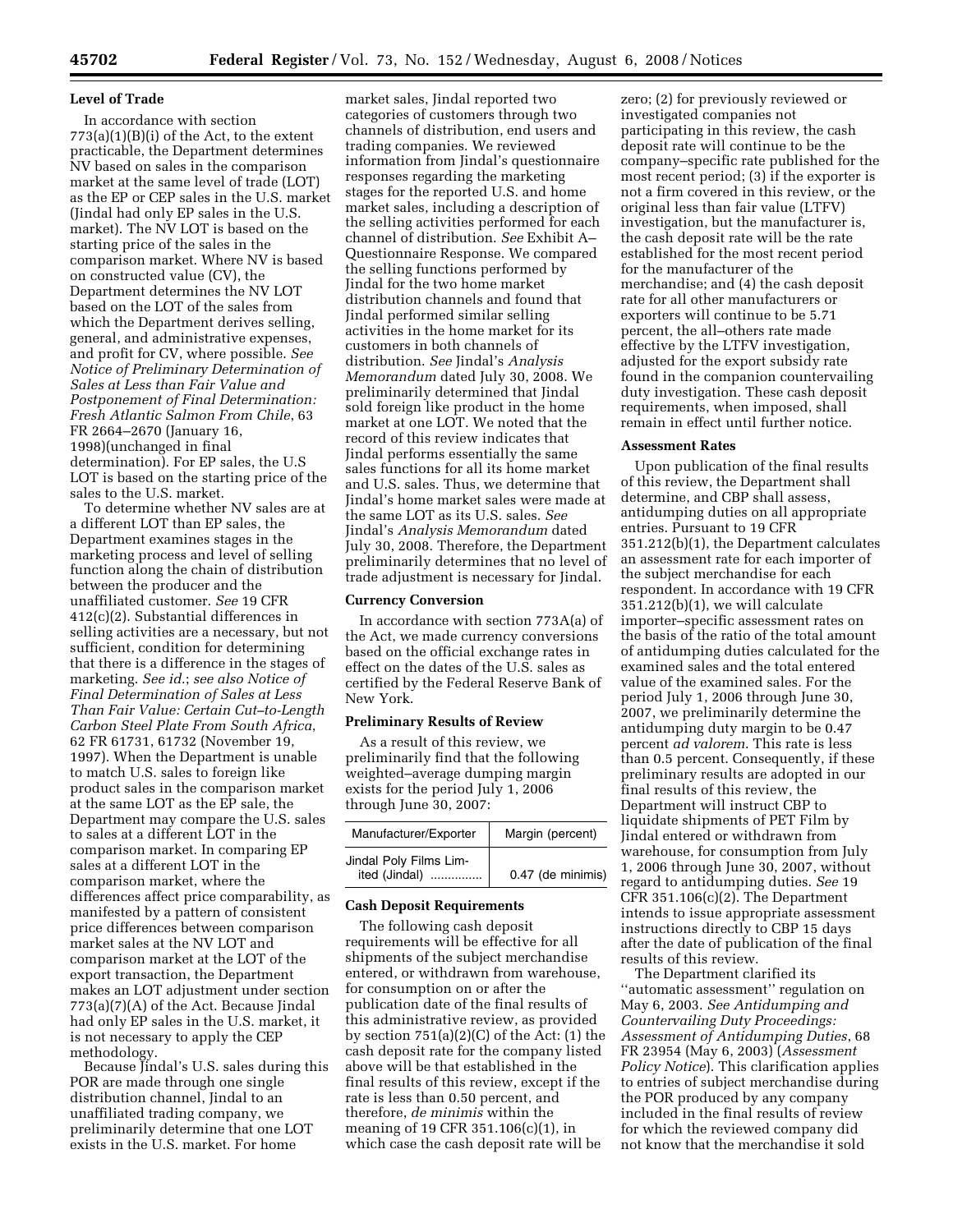### **Level of Trade**

In accordance with section  $773(a)(1)(B)(i)$  of the Act, to the extent practicable, the Department determines NV based on sales in the comparison market at the same level of trade (LOT) as the EP or CEP sales in the U.S. market (Jindal had only EP sales in the U.S. market). The NV LOT is based on the starting price of the sales in the comparison market. Where NV is based on constructed value (CV), the Department determines the NV LOT based on the LOT of the sales from which the Department derives selling, general, and administrative expenses, and profit for CV, where possible. *See Notice of Preliminary Determination of Sales at Less than Fair Value and Postponement of Final Determination: Fresh Atlantic Salmon From Chile*, 63 FR 2664–2670 (January 16, 1998)(unchanged in final determination). For EP sales, the U.S LOT is based on the starting price of the sales to the U.S. market.

To determine whether NV sales are at a different LOT than EP sales, the Department examines stages in the marketing process and level of selling function along the chain of distribution between the producer and the unaffiliated customer. *See* 19 CFR 412(c)(2). Substantial differences in selling activities are a necessary, but not sufficient, condition for determining that there is a difference in the stages of marketing. *See id*.; *see also Notice of Final Determination of Sales at Less Than Fair Value: Certain Cut–to-Length Carbon Steel Plate From South Africa*, 62 FR 61731, 61732 (November 19, 1997). When the Department is unable to match U.S. sales to foreign like product sales in the comparison market at the same LOT as the EP sale, the Department may compare the U.S. sales to sales at a different LOT in the comparison market. In comparing EP sales at a different LOT in the comparison market, where the differences affect price comparability, as manifested by a pattern of consistent price differences between comparison market sales at the NV LOT and comparison market at the LOT of the export transaction, the Department makes an LOT adjustment under section 773(a)(7)(A) of the Act. Because Jindal had only EP sales in the U.S. market, it is not necessary to apply the CEP methodology.

Because Jindal's U.S. sales during this POR are made through one single distribution channel, Jindal to an unaffiliated trading company, we preliminarily determine that one LOT exists in the U.S. market. For home

market sales, Jindal reported two categories of customers through two channels of distribution, end users and trading companies. We reviewed information from Jindal's questionnaire responses regarding the marketing stages for the reported U.S. and home market sales, including a description of the selling activities performed for each channel of distribution. *See* Exhibit A– Questionnaire Response. We compared the selling functions performed by Jindal for the two home market distribution channels and found that Jindal performed similar selling activities in the home market for its customers in both channels of distribution. *See* Jindal's *Analysis Memorandum* dated July 30, 2008. We preliminarily determined that Jindal sold foreign like product in the home market at one LOT. We noted that the record of this review indicates that Jindal performs essentially the same sales functions for all its home market and U.S. sales. Thus, we determine that Jindal's home market sales were made at the same LOT as its U.S. sales. *See*  Jindal's *Analysis Memorandum* dated July 30, 2008. Therefore, the Department preliminarily determines that no level of trade adjustment is necessary for Jindal.

#### **Currency Conversion**

In accordance with section 773A(a) of the Act, we made currency conversions based on the official exchange rates in effect on the dates of the U.S. sales as certified by the Federal Reserve Bank of New York.

### **Preliminary Results of Review**

As a result of this review, we preliminarily find that the following weighted–average dumping margin exists for the period July 1, 2006 through June 30, 2007:

| Manufacturer/Exporter                        | Margin (percent)  |
|----------------------------------------------|-------------------|
| Jindal Poly Films Lim-<br>ited (Jindal)<br>. | 0.47 (de minimis) |

### **Cash Deposit Requirements**

The following cash deposit requirements will be effective for all shipments of the subject merchandise entered, or withdrawn from warehouse, for consumption on or after the publication date of the final results of this administrative review, as provided by section  $751(a)(2)(C)$  of the Act:  $(1)$  the cash deposit rate for the company listed above will be that established in the final results of this review, except if the rate is less than 0.50 percent, and therefore, *de minimis* within the meaning of 19 CFR 351.106(c)(1), in which case the cash deposit rate will be

zero; (2) for previously reviewed or investigated companies not participating in this review, the cash deposit rate will continue to be the company–specific rate published for the most recent period; (3) if the exporter is not a firm covered in this review, or the original less than fair value (LTFV) investigation, but the manufacturer is, the cash deposit rate will be the rate established for the most recent period for the manufacturer of the merchandise; and (4) the cash deposit rate for all other manufacturers or exporters will continue to be 5.71 percent, the all–others rate made effective by the LTFV investigation, adjusted for the export subsidy rate found in the companion countervailing duty investigation. These cash deposit requirements, when imposed, shall remain in effect until further notice.

#### **Assessment Rates**

Upon publication of the final results of this review, the Department shall determine, and CBP shall assess, antidumping duties on all appropriate entries. Pursuant to 19 CFR 351.212(b)(1), the Department calculates an assessment rate for each importer of the subject merchandise for each respondent. In accordance with 19 CFR 351.212(b)(1), we will calculate importer–specific assessment rates on the basis of the ratio of the total amount of antidumping duties calculated for the examined sales and the total entered value of the examined sales. For the period July 1, 2006 through June 30, 2007, we preliminarily determine the antidumping duty margin to be 0.47 percent *ad valorem*. This rate is less than 0.5 percent. Consequently, if these preliminary results are adopted in our final results of this review, the Department will instruct CBP to liquidate shipments of PET Film by Jindal entered or withdrawn from warehouse, for consumption from July 1, 2006 through June 30, 2007, without regard to antidumping duties. *See* 19 CFR 351.106(c)(2). The Department intends to issue appropriate assessment instructions directly to CBP 15 days after the date of publication of the final results of this review.

The Department clarified its ''automatic assessment'' regulation on May 6, 2003. *See Antidumping and Countervailing Duty Proceedings: Assessment of Antidumping Duties*, 68 FR 23954 (May 6, 2003) (*Assessment Policy Notice*). This clarification applies to entries of subject merchandise during the POR produced by any company included in the final results of review for which the reviewed company did not know that the merchandise it sold